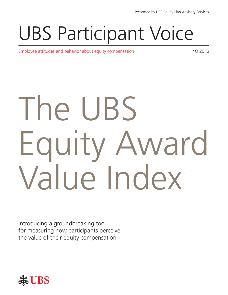## UBS Participant Voice

Employee attitudes and behavior about equity compensation and the state and the 4Q 2013

# The UBS Equity Award Value Index

Introducing a groundbreaking tool for measuring how participants perceive the value of their equity compensation

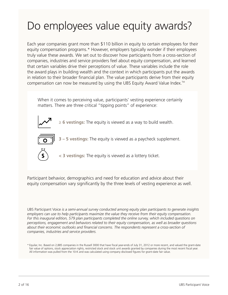## Do employees value equity awards?

Each year companies grant more than \$110 billion in equity to certain employees for their equity compensation programs.\* However, employers typically wonder if their employees truly value these awards. We set out to discover how participants from a cross-section of companies, industries and service providers feel about equity compensation, and learned that certain variables drive their perceptions of value. These variables include the role the award plays in building wealth and the context in which participants put the awards in relation to their broader financial plan. The value participants derive from their equity compensation can now be measured by using the UBS Equity Award Value Index.<sup>™</sup>

When it comes to perceiving value, participants' vesting experience certainly matters. There are three critical "tipping points" of experience:



**≥ 6 vestings:** The equity is viewed as a way to build wealth.



**3 – 5 vestings:** The equity is viewed as a paycheck supplement.



**< 3 vestings:** The equity is viewed as a lottery ticket.

Participant behavior, demographics and need for education and advice about their equity compensation vary significantly by the three levels of vesting experience as well.

UBS Participant Voice *is a semi-annual survey conducted among equity plan participants to generate insights employers can use to help participants maximize the value they receive from their equity compensation. For this inaugural edition, 579 plan participants completed the online survey, which included questions on perceptions, engagement and behaviors related to their equity compensation, as well as broader questions about their economic outlooks and financial concerns. The respondents represent a cross-section of companies, industries and service providers.* 

\* Equilar, Inc. Based on 2,885 companies in the Russell 3000 that have fiscal year-ends of July 31, 2012 or more recent, and valued the grant-date fair value of options, stock appreciation rights, restricted stock and stock unit awards granted by companies during the most recent fiscal year. All information was pulled from the 10-K and was calculated using company disclosed figures for grant-date fair value.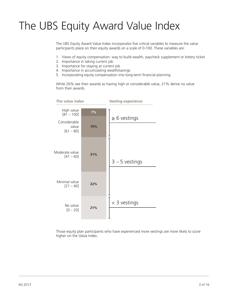## The UBS Equity Award Value Index

The UBS Equity Award Value Index incorporates five critical variables to measure the value participants place on their equity awards on a scale of 0-100. These variables are:

- 1. Views of equity compensation: way to build wealth, paycheck supplement or lottery ticket
- 2. Importance in taking current job
- 3. Importance for staying at current job
- 4. Importance in accumulating wealth/savings
- 5. Incorporating equity compensation into long-term financial planning

While 26% see their awards as having high or considerable value, 21% derive no value from their awards.



Those equity plan participants who have experienced more vestings are more likely to score higher on the Value Index.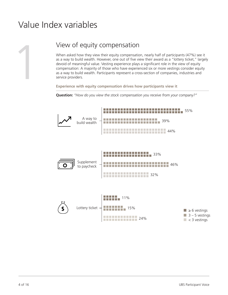## Value Index variables



View of equity compensation<br>
When asked how they view their equity compensation<br>
as a way to build wealth. However, one out of five vi<br>
devoid of meaningful value. Vesting experience plays<br>
compensation: A majority of thos When asked how they view their equity compensation, nearly half of participants (47%) see it as a way to build wealth. However, one out of five view their award as a "lottery ticket," largely devoid of meaningful value. Vesting experience plays a significant role in the view of equity compensation: A majority of those who have experienced six or more vestings consider equity as a way to build wealth. Participants represent a cross-section of companies, industries and service providers.

**Experience with equity compensation drives how participants view it**

**Question:** *"How do you view the stock compensation you receive from your company?"* 

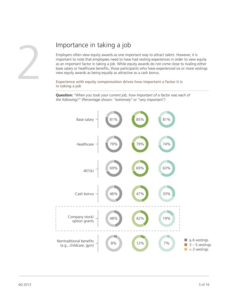

Importance in taking a job<br>
Employers often view equity awards as one important to note that employees need to have it<br>
as an important factor in taking a job. While equ<br>
base salary or healthcare benefits, those participa Employers often view equity awards as one important way to attract talent. However, it is important to note that employees need to have had vesting experiences in order to view equity as an important factor in taking a job. While equity awards do not come close to rivaling either base salary or healthcare benefits, those participants who have experienced six or more vestings view equity awards as being equally as attractive as a cash bonus.

**Experience with equity compensation drives how important a factor it is in taking a job**

**Question:** *"When you took your current job, how important of a factor was each of the following?" (Percentage shown: "extremely" or "very important")*

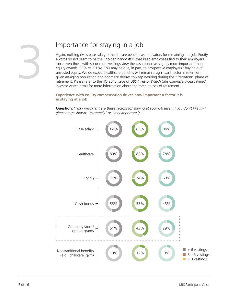#### Importance for staying in a job

Again, nothing rivals base salary or healthcare benefits as motivators for remaining in a job. Equity awards do not seem to be the "golden handcuffs" that keep employees tied to their employers, since even those with six or more vestings view the cash bonus as slightly more important than equity awards (55% vs. 51%). This may be due, in part, to prospective employers "buying out" unvested equity. We do expect healthcare benefits will remain a significant factor in retention, given an aging population and boomers' desires to keep working during the "*Transition*" phase of retirement. Please refer to the 4Q 2013 issue of *[UBS Investor Watch](http://www.ubs.com/us/en/wealth/misc/investor-watch.html)* (ubs.com/us/en/wealth/misc/ investor-watch.html) for more information about the three phases of retirement.

**Experience with equity compensation drives how important a factor it is in staying at a job**

**Question:** *"How important are these factors for staying at your job (even if you don't like it)?" (Percentage shown: "extremely" or "very important")* 

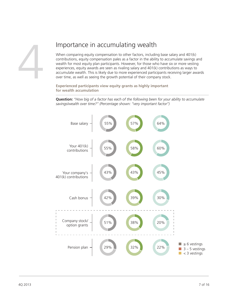#### Importance in accumulating wealth

When comparing equity compensation to other factors, including base salary and 401(k) contributions, equity compensation pales as a factor in the ability to accumulate savings and wealth for most equity plan participants. However, for those who have six or more vesting experiences, equity awards are seen as rivaling salary and 401(k) contributions as ways to accumulate wealth. This is likely due to more experienced participants receiving larger awards over time, as well as seeing the growth potential of their company stock.

**Experienced participants view equity grants as highly important for wealth accumulation** 

**Question:** *"How big of a factor has each of the following been for your ability to accumulate savings/wealth over time?" (Percentage shown: "very important factor")*

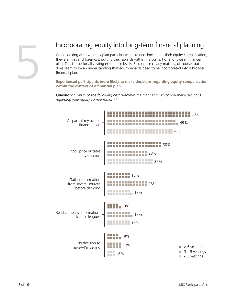

#### Incorporating equity into long-term financial planning

When looking at how equity plan participants make decisions about their equity compensation, they are, first and foremost, putting their awards within the context of a long-term financial plan. This is true for all vesting experience levels. Stock price clearly matters, of course, but there does seem to be an understanding that equity awards need to be incorporated into a broader financial plan.

**Experienced participants more likely to make decisions regarding equity compensation within the context of a financial plan**

**Question:** *"Which of the following best describes the manner in which you make decisions regarding your equity compensation?"* 

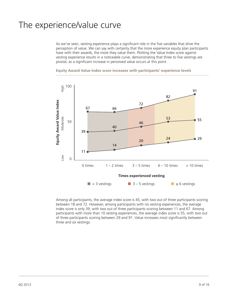#### The experience/value curve

As we've seen, vesting experience plays a significant role in the five variables that drive the perception of value. We can say with certainty that the more experience equity plan participants have with their awards, the more they value them. Plotting the Value Index score against vesting experience results in a noticeable curve, demonstrating that three to five vestings are pivotal, as a significant increase in perceived value occurs at this point.



**Equity Award Value Index score increases with participants' experience levels**

Among all participants, the average index score is 45, with two out of three participants scoring between 18 and 72. However, among participants with no vesting experiences, the average index score is only 39, with two out of three participants scoring between 11 and 67. Among participants with more than 10 vesting experiences, the average index score is 55, with two out of three participants scoring between 29 and 91. Value increases most significantly between three and six vestings.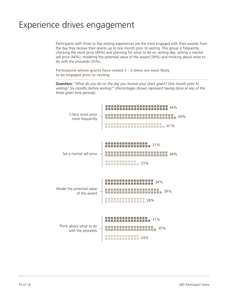### Experience drives engagement

Participants with three to five vesting experiences are the most engaged with their awards from the day they receive their grants up to one month prior to vesting. This group is frequently checking the stock price (49%) and planning for what to do on vesting day: setting a mental sell price (44%), modeling the potential value of the award (39%) and thinking about what to do with the proceeds (35%).

**Participants whose grants have vested 3 – 5 times are most likely to be engaged prior to vesting**

**Question:** *"What do you do on the day you receive your stock grant? One month prior to vesting? Six months before vesting?" (Percentages shown represent having done at any of the three given time periods).*

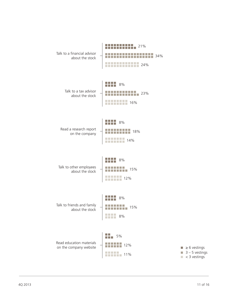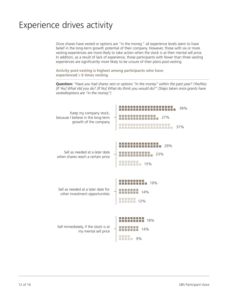## Experience drives activity

Once shares have vested or options are "in the money," all experience levels seem to have belief in the long-term growth potential of their company. However, those with six or more vesting experiences are more likely to take action when the stock is at their mental sell price. In addition, as a result of lack of experience, those participants with fewer than three vesting experiences are significantly more likely to be unsure of their plans post-vesting.

**Activity post-vesting is highest among participants who have experienced ≥ 6 times vesting**

**Question:** *"Have you had shares vest or options "in the money" within the past year? (Yes/No). [If Yes] What did you do? [If No] What do think you would do?" (Steps taken once grants have vested/options are "in the money")*

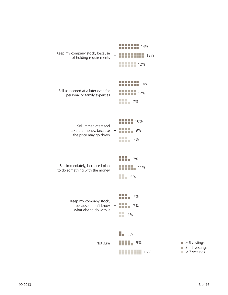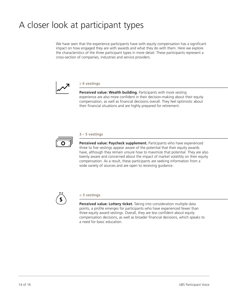## A closer look at participant types

We have seen that the experience participants have with equity compensation has a significant impact on how engaged they are with awards and what they do with them. Here we explore the characteristics of the three participant types in more detail. These participants represent a cross-section of companies, industries and service providers.



#### **≥ 6 vestings**

**Perceived value: Wealth building.** Participants with more vesting experience are also more confident in their decision-making about their equity compensation, as well as financial decisions overall. They feel optimistic about their financial situations and are highly prepared for retirement.



#### **3 – 5 vestings**

**Perceived value: Paycheck supplement.** Participants who have experienced three to five vestings appear aware of the potential that their equity awards have, although they remain unsure how to maximize that potential. They are also keenly aware and concerned about the impact of market volatility on their equity compensation. As a result, these participants are seeking information from a wide variety of sources and are open to receiving guidance.



#### **< 3 vestings**

**Perceived value: Lottery ticket.** Taking into consideration multiple data points, a profile emerges for participants who have experienced fewer than three equity award vestings. Overall, they are less confident about equity compensation decisions, as well as broader financial decisions, which speaks to a need for basic education.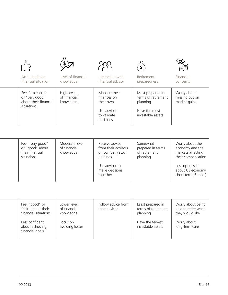| Attitude about<br>financial situation                                     | Level of financial<br>knowledge             | Interaction with<br>financial advisor                                               | Retirement<br>preparedness                                                                | Financial<br>concerns                                                         |
|---------------------------------------------------------------------------|---------------------------------------------|-------------------------------------------------------------------------------------|-------------------------------------------------------------------------------------------|-------------------------------------------------------------------------------|
| Feel "excellent"<br>or "very good"<br>about their financial<br>situations | High level<br>of financial<br>knowledge     | Manage their<br>finances on<br>their own<br>Use advisor<br>to validate<br>decisions | Most prepared in<br>terms of retirement<br>planning<br>Have the most<br>investable assets | Worry about<br>missing out on<br>market gains                                 |
| Feel "very good"<br>or "good" about<br>their financial<br>situations      | Moderate level<br>of financial<br>knowledge | Receive advice<br>from their advisors<br>on company stock<br>holdings               | Somewhat<br>prepared in terms<br>of retirement<br>planning                                | Worry about the<br>economy and the<br>markets affecting<br>their compensation |

Use advisor to make decisions together

| Feel "good" or<br>"fair" about their<br>financial situations | Lower level<br>of financial<br>knowledge | Follow advice from<br>their advisors | Least prepared in<br>terms of retirement<br>planning | Worry about being<br>able to retire when<br>they would like |
|--------------------------------------------------------------|------------------------------------------|--------------------------------------|------------------------------------------------------|-------------------------------------------------------------|
| Less confident<br>about achieving<br>financial goals         | Focus on<br>avoiding losses              |                                      | Have the fewest<br>investable assets                 | Worry about<br>long-term care                               |

Less optimistic about US economy short-term (6 mos.)